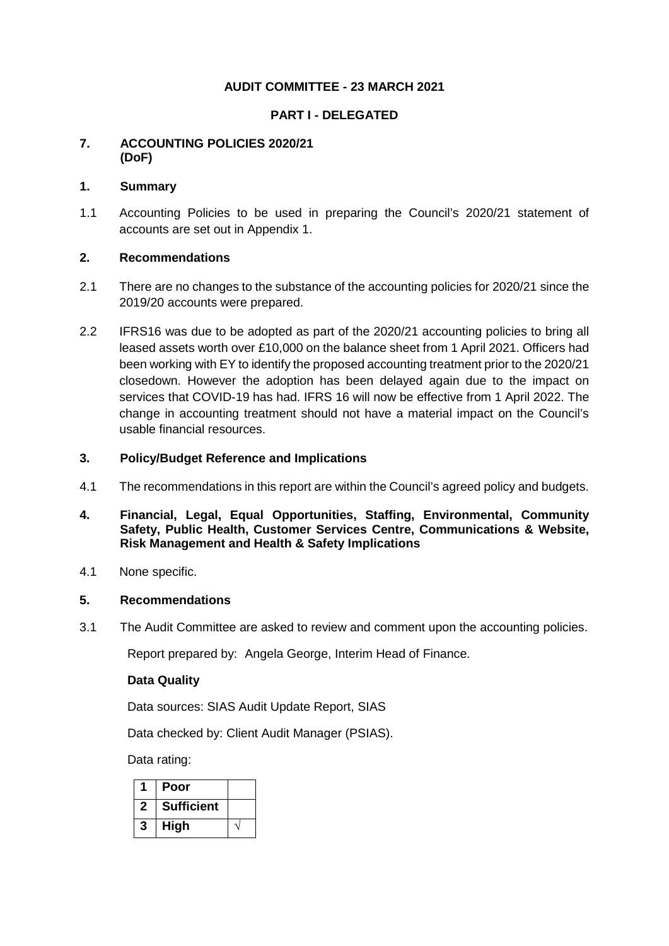# **AUDIT COMMITTEE - 23 MARCH 2021**

#### **PART I - DELEGATED**

## **7. ACCOUNTING POLICIES 2020/21 (DoF)**

#### **1. Summary**

1.1 Accounting Policies to be used in preparing the Council's 2020/21 statement of accounts are set out in Appendix 1.

## **2. Recommendations**

- 2.1 There are no changes to the substance of the accounting policies for 2020/21 since the 2019/20 accounts were prepared.
- 2.2 IFRS16 was due to be adopted as part of the 2020/21 accounting policies to bring all leased assets worth over £10,000 on the balance sheet from 1 April 2021. Officers had been working with EY to identify the proposed accounting treatment prior to the 2020/21 closedown. However the adoption has been delayed again due to the impact on services that COVID-19 has had. IFRS 16 will now be effective from 1 April 2022. The change in accounting treatment should not have a material impact on the Council's usable financial resources.

#### **3. Policy/Budget Reference and Implications**

- 4.1 The recommendations in this report are within the Council's agreed policy and budgets.
- **4. Financial, Legal, Equal Opportunities, Staffing, Environmental, Community Safety, Public Health, Customer Services Centre, Communications & Website, Risk Management and Health & Safety Implications**
- 4.1 None specific.

#### **5. Recommendations**

3.1 The Audit Committee are asked to review and comment upon the accounting policies.

Report prepared by: Angela George, Interim Head of Finance.

#### **Data Quality**

Data sources: SIAS Audit Update Report, SIAS

Data checked by: Client Audit Manager (PSIAS).

Data rating:

|              | Poor              |  |
|--------------|-------------------|--|
| $\mathbf{2}$ | <b>Sufficient</b> |  |
| 3            | <b>High</b>       |  |